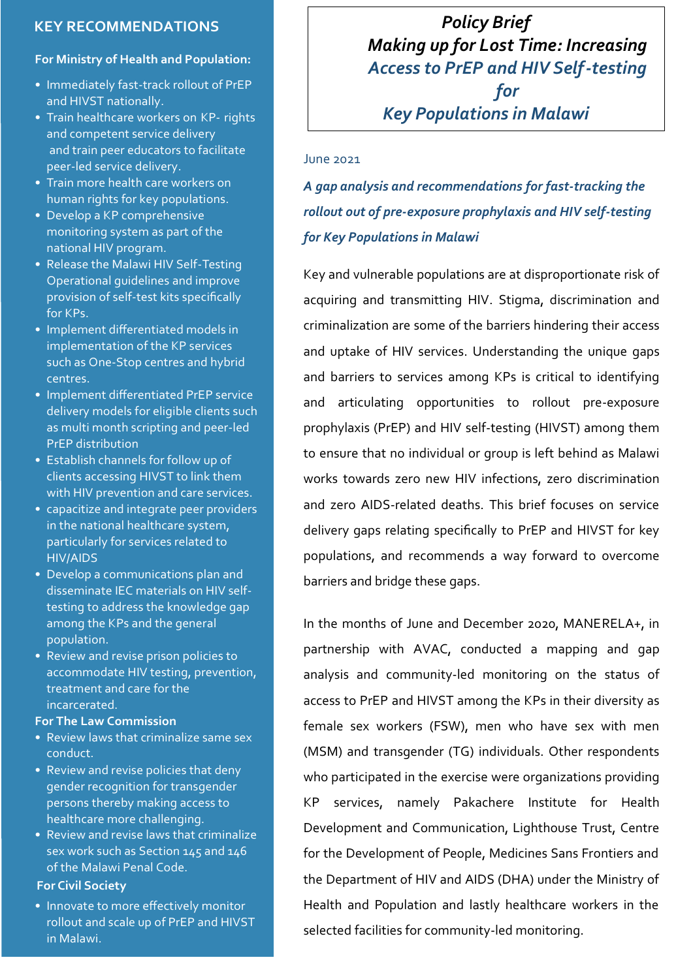# **KEY RECOMMENDATIONS**

#### **For Ministry of Health and Population:**

- Immediately fast-track rollout of PrEP and HIVST nationally.
- Train healthcare workers on KP- rights and competent service delivery and train peer educators to facilitate peer-led service delivery.
- Train more health care workers on human rights for key populations.
- Develop a KP comprehensive monitoring system as part of the national HIV program.
- Release the Malawi HIV Self-Testing Operational guidelines and improve provision of self-test kits specifically for KPs.
- Implement differentiated models in implementation of the KP services such as One-Stop centres and hybrid centres.
- Implement differentiated PrEP service delivery models for eligible clients such as multi month scripting and peer-led PrEP distribution
- Establish channels for follow up of clients accessing HIVST to link them with HIV prevention and care services.
- capacitize and integrate peer providers in the national healthcare system, particularly for services related to HIV/AIDS
- Develop a communications plan and disseminate IEC materials on HIV selftesting to address the knowledge gap among the KPs and the general population.
- Review and revise prison policies to accommodate HIV testing, prevention, treatment and care for the incarcerated.

#### **For The Law Commission**

- Review laws that criminalize same sex conduct.
- Review and revise policies that deny gender recognition for transgender persons thereby making access to healthcare more challenging.
- Review and revise laws that criminalize sex work such as Section 145 and 146 of the Malawi Penal Code.

### **For Civil Society**

• Innovate to more effectively monitor rollout and scale up of PrEP and HIVST in Malawi.

*Policy Brief Making up for Lost Time: Increasing Access to PrEP and HIV Self-testing for Key Populations in Malawi*

#### June 2021

*A gap analysis and recommendations for fast-tracking the rollout out of pre-exposure prophylaxis and HIV self-testing for Key Populations in Malawi*

Key and vulnerable populations are at disproportionate risk of acquiring and transmitting HIV. Stigma, discrimination and criminalization are some of the barriers hindering their access and uptake of HIV services. Understanding the unique gaps and barriers to services among KPs is critical to identifying and articulating opportunities to rollout pre-exposure prophylaxis (PrEP) and HIV self-testing (HIVST) among them to ensure that no individual or group is left behind as Malawi works towards zero new HIV infections, zero discrimination and zero AIDS-related deaths. This brief focuses on service delivery gaps relating specifically to PrEP and HIVST for key populations, and recommends a way forward to overcome barriers and bridge these gaps.

In the months of June and December 2020, MANERELA+, in partnership with AVAC, conducted a mapping and gap analysis and community-led monitoring on the status of access to PrEP and HIVST among the KPs in their diversity as female sex workers (FSW), men who have sex with men (MSM) and transgender (TG) individuals. Other respondents who participated in the exercise were organizations providing KP services, namely Pakachere Institute for Health Development and Communication, Lighthouse Trust, Centre for the Development of People, Medicines Sans Frontiers and the Department of HIV and AIDS (DHA) under the Ministry of Health and Population and lastly healthcare workers in the selected facilities for community-led monitoring.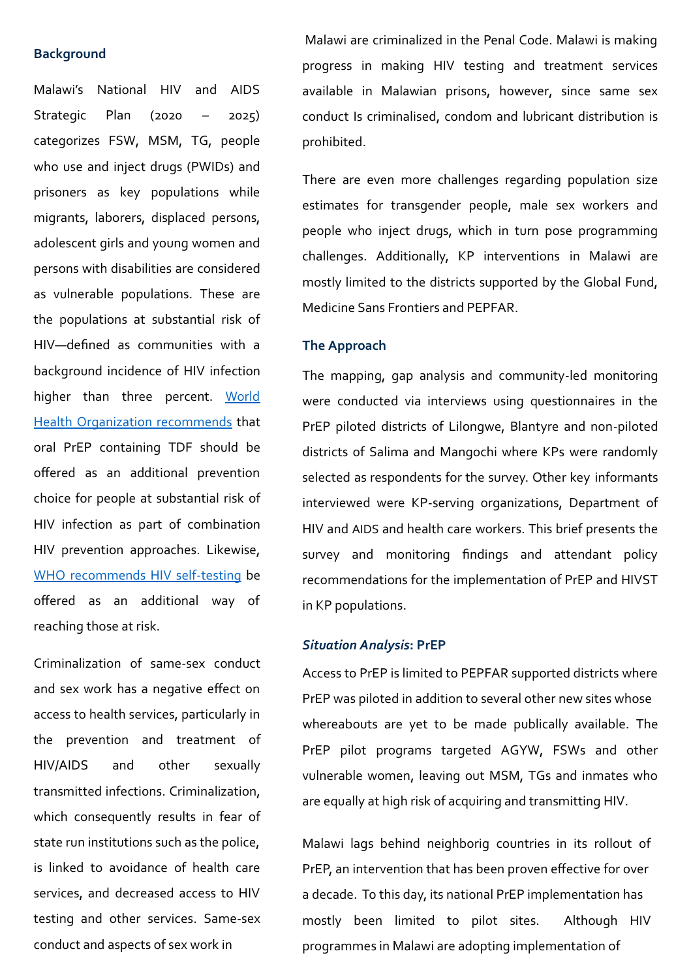#### **Background**

Malawi's National HIV and AIDS Strategic Plan (2020 – 2025) categorizes FSW, MSM, TG, people who use and inject drugs (PWIDs) and prisoners as key populations while migrants, laborers, displaced persons, adolescent girls and young women and persons with disabilities are considered as vulnerable populations. These are the populations at substantial risk of HIV—defined as communities with a background incidence of HIV infection higher than three percent. World Health Organization recommends that oral PrEP containing TDF should be offered as an additional prevention choice for people at substantial risk of HIV infection as part of combination HIV prevention approaches. Likewise, WHO recommends HIV self-testing be offered as an additional way of reaching those at risk.

Criminalization of same-sex conduct and sex work has a negative effect on access to health services, particularly in the prevention and treatment of HIV/AIDS and other sexually transmitted infections. Criminalization, which consequently results in fear of state run institutions such as the police, is linked to avoidance of health care services, and decreased access to HIV testing and other services. Same-sex conduct and aspects of sex work in

Malawi are criminalized in the Penal Code. Malawi is making progress in making HIV testing and treatment services available in Malawian prisons, however, since same sex conduct Is criminalised, condom and lubricant distribution is prohibited.

There are even more challenges regarding population size estimates for transgender people, male sex workers and people who inject drugs, which in turn pose programming challenges. Additionally, KP interventions in Malawi are mostly limited to the districts supported by the Global Fund, Medicine Sans Frontiers and PEPFAR.

#### **The Approach**

The mapping, gap analysis and community-led monitoring were conducted via interviews using questionnaires in the PrEP piloted districts of Lilongwe, Blantyre and non-piloted districts of Salima and Mangochi where KPs were randomly selected as respondents for the survey. Other key informants interviewed were KP-serving organizations, Department of HIV and AIDS and health care workers. This brief presents the survey and monitoring findings and attendant policy recommendations for the implementation of PrEP and HIVST in KP populations.

#### *Situation Analysis***: PrEP**

Access to PrEP is limited to PEPFAR supported districts where PrEP was piloted in addition to several other new sites whose whereabouts are yet to be made publically available. The PrEP pilot programs targeted AGYW, FSWs and other vulnerable women, leaving out MSM, TGs and inmates who are equally at high risk of acquiring and transmitting HIV.

Malawi lags behind neighborig countries in its rollout of PrEP, an intervention that has been proven effective for over a decade. To this day, its national PrEP implementation has mostly been limited to pilot sites. Although HIV programmes in Malawi are adopting implementation of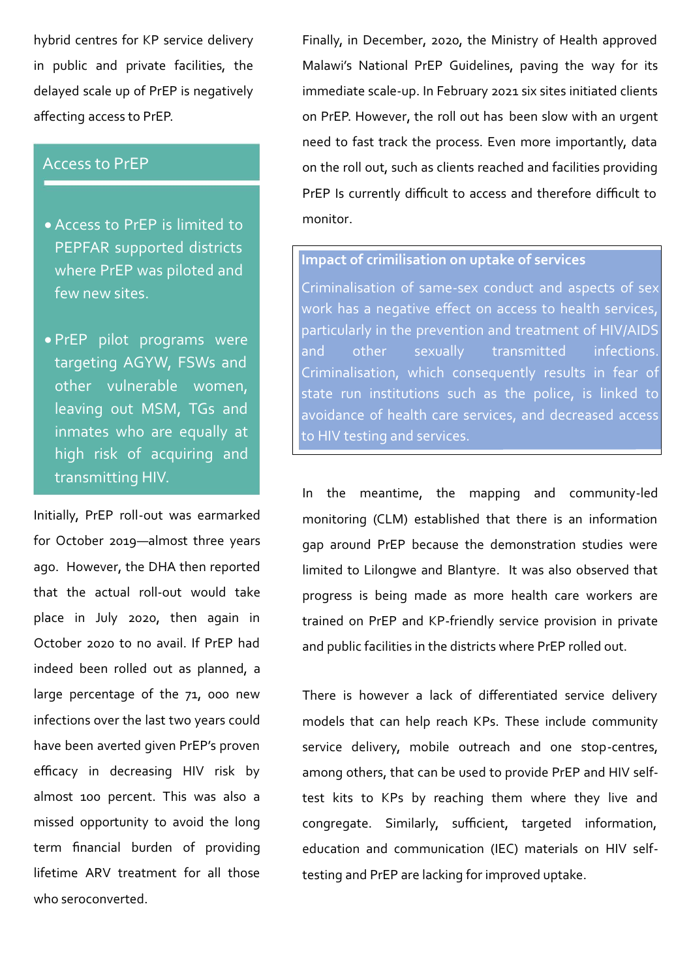hybrid centres for KP service delivery in public and private facilities, the delayed scale up of PrEP is negatively affecting access to PrEP.

## Access to PrEP

- · Access to PrEP is limited to PEPFAR supported districts where PrEP was piloted and few new sites.
- · PrEP pilot programs were targeting AGYW, FSWs and other vulnerable women, leaving out MSM, TGs and inmates who are equally at high risk of acquiring and transmitting HIV.

Initially, PrEP roll-out was earmarked for October 2019—almost three years ago. However, the DHA then reported that the actual roll-out would take place in July 2020, then again in October 2020 to no avail. If PrEP had indeed been rolled out as planned, a large percentage of the 71, 000 new infections over the last two years could have been averted given PrEP's proven efficacy in decreasing HIV risk by almost 100 percent. This was also a missed opportunity to avoid the long term financial burden of providing lifetime ARV treatment for all those who seroconverted.

Finally, in December, 2020, the Ministry of Health approved Malawi's National PrEP Guidelines, paving the way for its immediate scale-up. In February 2021 six sites initiated clients on PrEP. However, the roll out has been slow with an urgent need to fast track the process. Even more importantly, data on the roll out, such as clients reached and facilities providing PrEP Is currently difficult to access and therefore difficult to monitor.

#### **Impact of crimilisation on uptake of services**

Criminalisation of same-sex conduct and aspects of sex work has a negative effect on access to health services, particularly in the prevention and treatment of HIV/AIDS and other sexually transmitted infections. Criminalisation, which consequently results in fear of state run institutions such as the police, is linked to avoidance of health care services, and decreased access to HIV testing and services.

In the meantime, the mapping and community-led monitoring (CLM) established that there is an information gap around PrEP because the demonstration studies were limited to Lilongwe and Blantyre. It was also observed that progress is being made as more health care workers are trained on PrEP and KP-friendly service provision in private and public facilities in the districts where PrEP rolled out.

There is however a lack of differentiated service delivery models that can help reach KPs. These include community service delivery, mobile outreach and one stop-centres, among others, that can be used to provide PrEP and HIV selftest kits to KPs by reaching them where they live and congregate. Similarly, sufficient, targeted information, education and communication (IEC) materials on HIV selftesting and PrEP are lacking for improved uptake.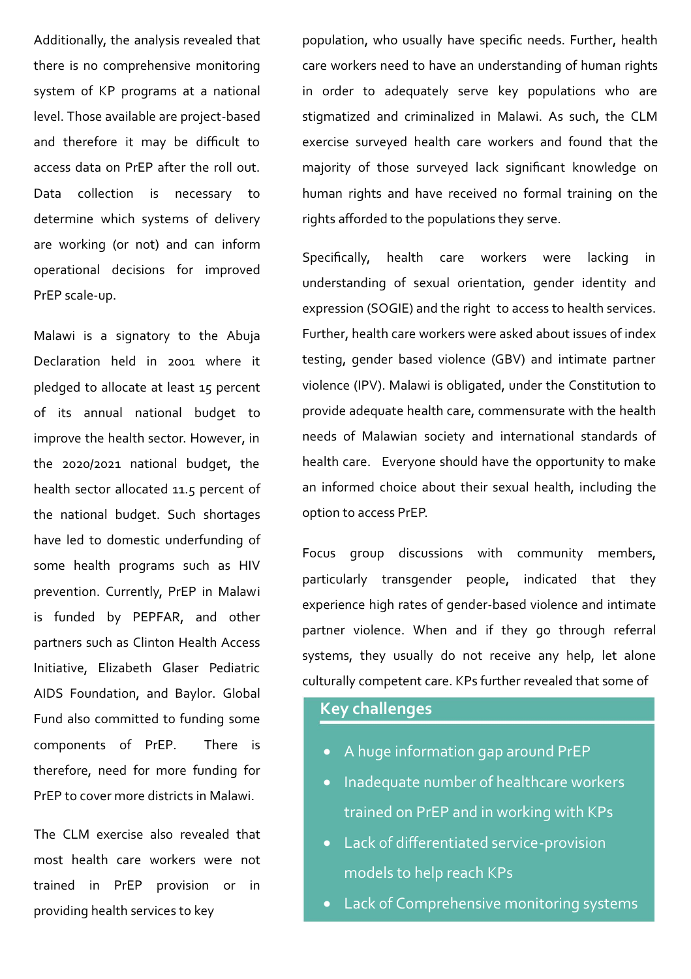Additionally, the analysis revealed that there is no comprehensive monitoring system of KP programs at a national level. Those available are project-based and therefore it may be difficult to access data on PrEP after the roll out. Data collection is necessary to determine which systems of delivery are working (or not) and can inform operational decisions for improved PrEP scale-up.

Malawi is a signatory to the Abuja Declaration held in 2001 where it pledged to allocate at least 15 percent of its annual national budget to improve the health sector. However, in the 2020/2021 national budget, the health sector allocated 11.5 percent of the national budget. Such shortages have led to domestic underfunding of some health programs such as HIV prevention. Currently, PrEP in Malawi is funded by PEPFAR, and other partners such as Clinton Health Access Initiative, Elizabeth Glaser Pediatric AIDS Foundation, and Baylor. Global Fund also committed to funding some components of PrEP. There is therefore, need for more funding for PrEP to cover more districts in Malawi.

The CLM exercise also revealed that most health care workers were not trained in PrEP provision or in providing health services to key

population, who usually have specific needs. Further, health care workers need to have an understanding of human rights in order to adequately serve key populations who are stigmatized and criminalized in Malawi. As such, the CLM exercise surveyed health care workers and found that the majority of those surveyed lack significant knowledge on human rights and have received no formal training on the rights afforded to the populations they serve.

Specifically, health care workers were lacking in understanding of sexual orientation, gender identity and expression (SOGIE) and the right to access to health services. Further, health care workers were asked about issues of index testing, gender based violence (GBV) and intimate partner violence (IPV). Malawi is obligated, under the Constitution to provide adequate health care, commensurate with the health needs of Malawian society and international standards of health care. Everyone should have the opportunity to make an informed choice about their sexual health, including the option to access PrEP.

Focus group discussions with community members, particularly transgender people, indicated that they experience high rates of gender-based violence and intimate partner violence. When and if they go through referral systems, they usually do not receive any help, let alone culturally competent care. KPs further revealed that some of

## **Key challenges**

- · A huge information gap around PrEP
- · Inadequate number of healthcare workers trained on PrEP and in working with KPs
- · Lack of differentiated service-provision models to help reach KPs
- · Lack of Comprehensive monitoring systems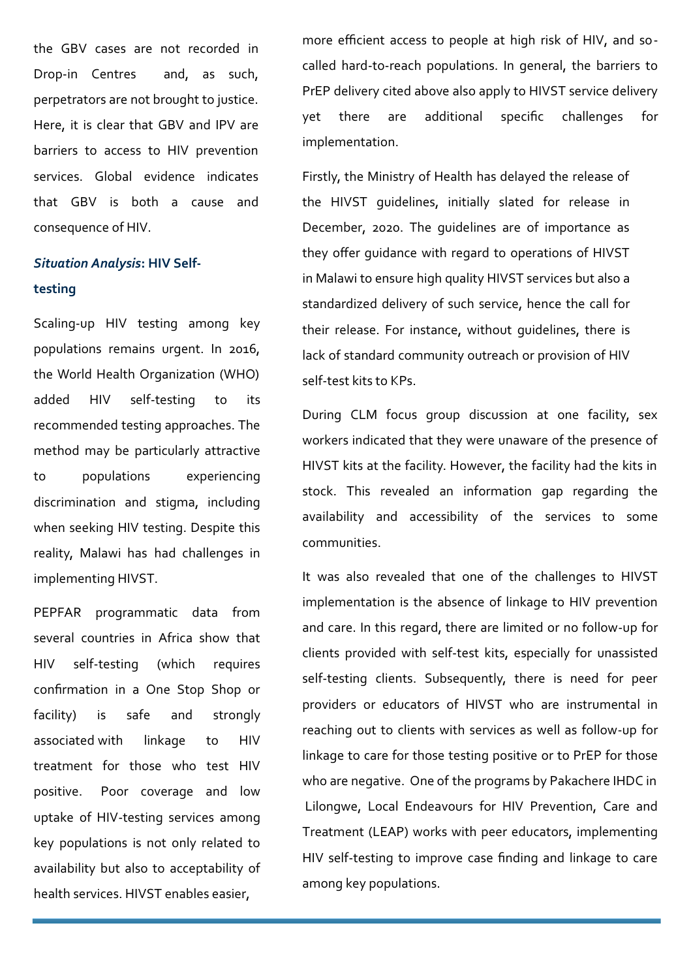the GBV cases are not recorded in Drop-in Centres and, as such, perpetrators are not brought to justice. Here, it is clear that GBV and IPV are barriers to access to HIV prevention services. Global evidence indicates that GBV is both a cause and consequence of HIV.

## *Situation Analysis***: HIV Selftesting**

Scaling-up HIV testing among key populations remains urgent. In 2016, the World Health Organization (WHO) added HIV self-testing to its recommended testing approaches. The method may be particularly attractive to populations experiencing discrimination and stigma, including when seeking HIV testing. Despite this reality, Malawi has had challenges in implementing HIVST.

PEPFAR programmatic data from several countries in Africa show that HIV self-testing (which requires confirmation in a One Stop Shop or facility) is safe and strongly associated with linkage to HIV treatment for those who test HIV positive. Poor coverage and low uptake of HIV-testing services among key populations is not only related to availability but also to acceptability of health services. HIVST enables easier,

more efficient access to people at high risk of HIV, and socalled hard-to-reach populations. In general, the barriers to PrEP delivery cited above also apply to HIVST service delivery yet there are additional specific challenges for implementation.

Firstly, the Ministry of Health has delayed the release of the HIVST guidelines, initially slated for release in December, 2020. The guidelines are of importance as they offer guidance with regard to operations of HIVST in Malawi to ensure high quality HIVST services but also a standardized delivery of such service, hence the call for their release. For instance, without guidelines, there is lack of standard community outreach or provision of HIV self-test kits to KPs.

During CLM focus group discussion at one facility, sex workers indicated that they were unaware of the presence of HIVST kits at the facility. However, the facility had the kits in stock. This revealed an information gap regarding the availability and accessibility of the services to some communities.

It was also revealed that one of the challenges to HIVST implementation is the absence of linkage to HIV prevention and care. In this regard, there are limited or no follow-up for clients provided with self-test kits, especially for unassisted self-testing clients. Subsequently, there is need for peer providers or educators of HIVST who are instrumental in reaching out to clients with services as well as follow-up for linkage to care for those testing positive or to PrEP for those who are negative. One of the programs by Pakachere IHDC in Lilongwe, Local Endeavours for HIV Prevention, Care and Treatment (LEAP) works with peer educators, implementing HIV self-testing to improve case finding and linkage to care among key populations.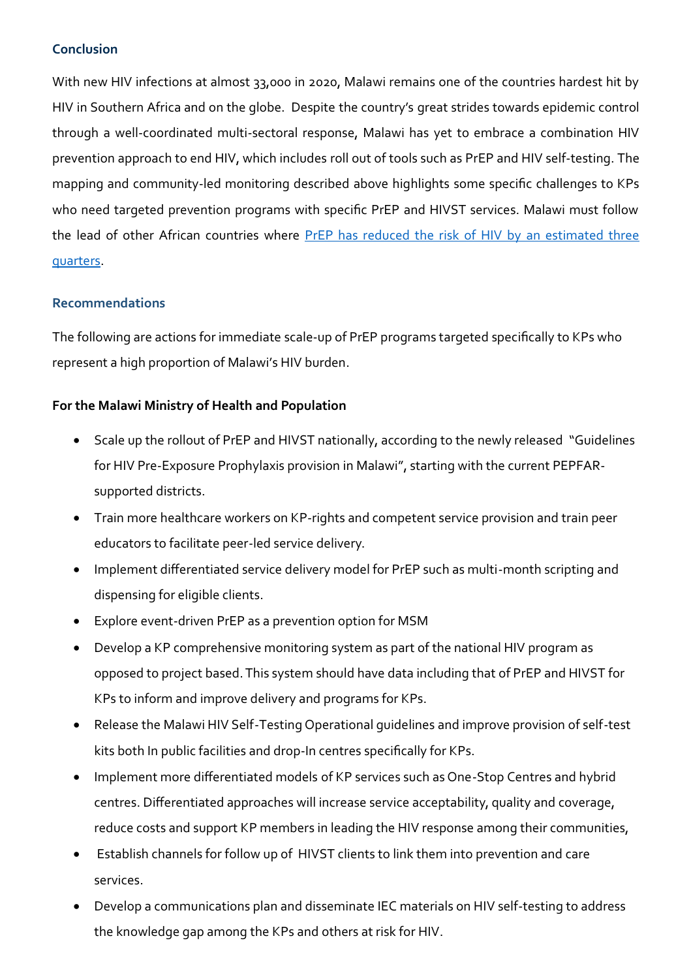#### **Conclusion**

With new HIV infections at almost 33,000 in 2020, Malawi remains one of the countries hardest hit by HIV in Southern Africa and on the globe. Despite the country's great strides towards epidemic control through a well-coordinated multi-sectoral response, Malawi has yet to embrace a combination HIV prevention approach to end HIV, which includes roll out of tools such as PrEP and HIV self-testing. The mapping and community-led monitoring described above highlights some specific challenges to KPs who need targeted prevention programs with specific PrEP and HIVST services. Malawi must follow the lead of other African countries where PrEP has reduced the risk of HIV by an estimated three quarters.

### **Recommendations**

The following are actions for immediate scale-up of PrEP programs targeted specifically to KPs who represent a high proportion of Malawi's HIV burden.

### **For the Malawi Ministry of Health and Population**

- · Scale up the rollout of PrEP and HIVST nationally, according to the newly released "Guidelines for HIV Pre-Exposure Prophylaxis provision in Malawi", starting with the current PEPFARsupported districts.
- · Train more healthcare workers on KP-rights and competent service provision and train peer educators to facilitate peer-led service delivery.
- · Implement differentiated service delivery model for PrEP such as multi-month scripting and dispensing for eligible clients.
- · Explore event-driven PrEP as a prevention option for MSM
- · Develop a KP comprehensive monitoring system as part of the national HIV program as opposed to project based. This system should have data including that of PrEP and HIVST for KPs to inform and improve delivery and programs for KPs.
- · Release the Malawi HIV Self-Testing Operational guidelines and improve provision of self-test kits both In public facilities and drop-In centres specifically for KPs.
- · Implement more differentiated models of KP services such as One-Stop Centres and hybrid centres. Differentiated approaches will increase service acceptability, quality and coverage, reduce costs and support KP members in leading the HIV response among their communities,
- · Establish channels for follow up of HIVST clients to link them into prevention and care services.
- · Develop a communications plan and disseminate IEC materials on HIV self-testing to address the knowledge gap among the KPs and others at risk for HIV.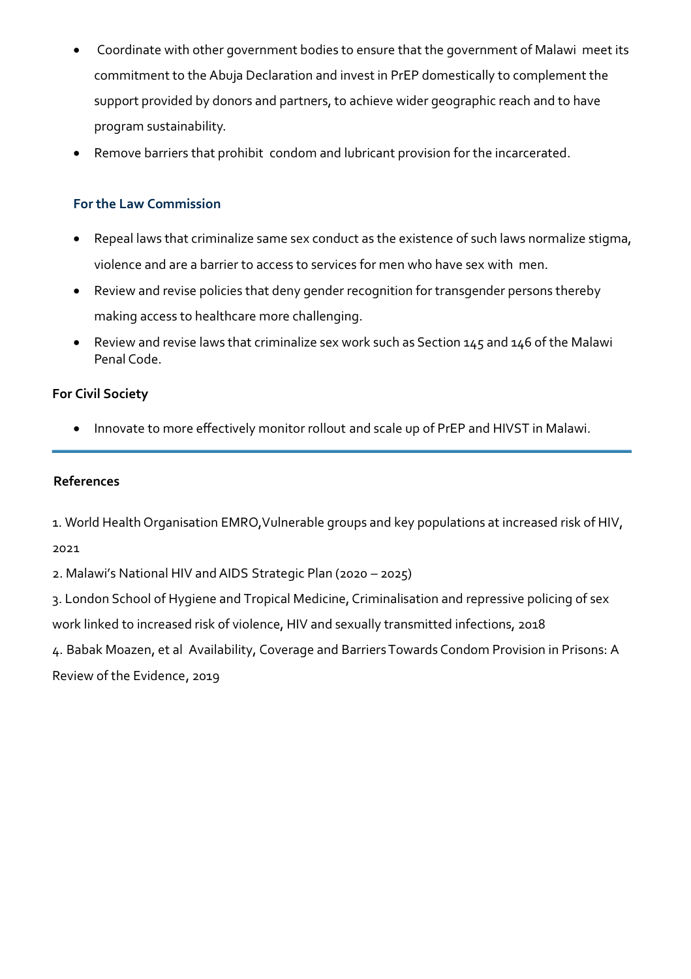- Coordinate with other government bodies to ensure that the government of Malawi meet its commitment to the Abuja Declaration and invest in PrEP domestically to complement the support provided by donors and partners, to achieve wider geographic reach and to have program sustainability.
- · Remove barriers that prohibit condom and lubricant provision for the incarcerated.

## **For the Law Commission**

- · Repeal laws that criminalize same sex conduct as the existence of such laws normalize stigma, violence and are a barrier to access to services for men who have sex with men.
- · Review and revise policies that deny gender recognition for transgender persons thereby making access to healthcare more challenging.
- · Review and revise laws that criminalize sex work such as Section 145 and 146 of the Malawi Penal Code.

## **For Civil Society**

· Innovate to more effectively monitor rollout and scale up of PrEP and HIVST in Malawi.

#### **References**

1. World Health Organisation EMRO, Vulnerable groups and key populations at increased risk of HIV,

2021

2. Malawi's National HIV and AIDS Strategic Plan (2020 – 2025)

3. London School of Hygiene and Tropical Medicine, Criminalisation and repressive policing of sex work linked to increased risk of violence, HIV and sexually transmitted infections, 2018

4. Babak Moazen, et al Availability, Coverage and BarriersTowards Condom Provision in Prisons: A Review of the Evidence, 2019